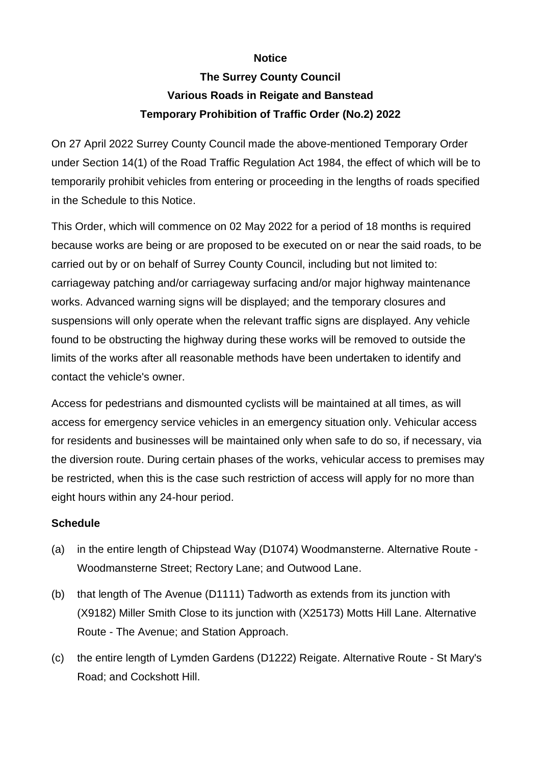## **Notice**

## **The Surrey County Council Various Roads in Reigate and Banstead Temporary Prohibition of Traffic Order (No.2) 2022**

On 27 April 2022 Surrey County Council made the above-mentioned Temporary Order under Section 14(1) of the Road Traffic Regulation Act 1984, the effect of which will be to temporarily prohibit vehicles from entering or proceeding in the lengths of roads specified in the Schedule to this Notice.

This Order, which will commence on 02 May 2022 for a period of 18 months is required because works are being or are proposed to be executed on or near the said roads, to be carried out by or on behalf of Surrey County Council, including but not limited to: carriageway patching and/or carriageway surfacing and/or major highway maintenance works. Advanced warning signs will be displayed; and the temporary closures and suspensions will only operate when the relevant traffic signs are displayed. Any vehicle found to be obstructing the highway during these works will be removed to outside the limits of the works after all reasonable methods have been undertaken to identify and contact the vehicle's owner.

Access for pedestrians and dismounted cyclists will be maintained at all times, as will access for emergency service vehicles in an emergency situation only. Vehicular access for residents and businesses will be maintained only when safe to do so, if necessary, via the diversion route. During certain phases of the works, vehicular access to premises may be restricted, when this is the case such restriction of access will apply for no more than eight hours within any 24-hour period.

## **Schedule**

- (a) in the entire length of Chipstead Way (D1074) Woodmansterne. Alternative Route Woodmansterne Street; Rectory Lane; and Outwood Lane.
- (b) that length of The Avenue (D1111) Tadworth as extends from its junction with (X9182) Miller Smith Close to its junction with (X25173) Motts Hill Lane. Alternative Route - The Avenue; and Station Approach.
- (c) the entire length of Lymden Gardens (D1222) Reigate. Alternative Route St Mary's Road; and Cockshott Hill.